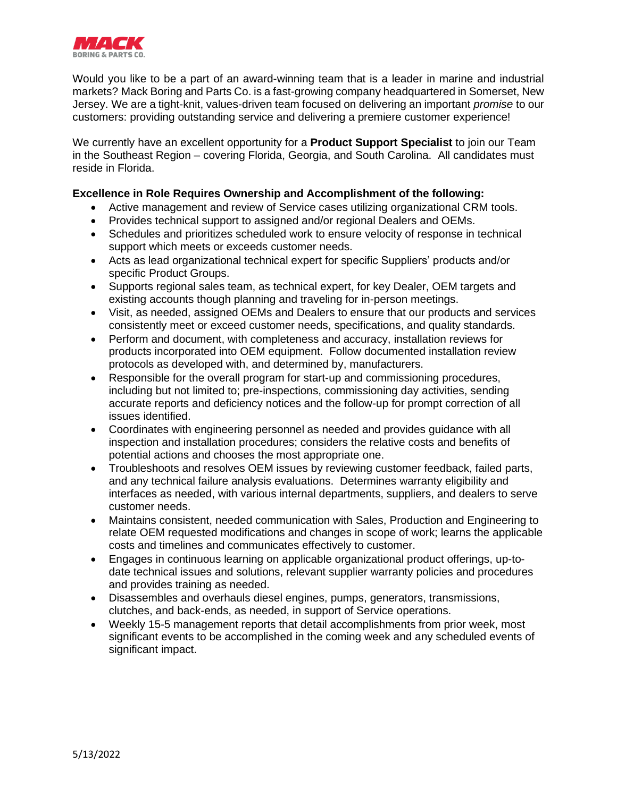

Would you like to be a part of an award-winning team that is a leader in marine and industrial markets? Mack Boring and Parts Co. is a fast-growing company headquartered in Somerset, New Jersey. We are a tight-knit, values-driven team focused on delivering an important *promise* to our customers: providing outstanding service and delivering a premiere customer experience!

We currently have an excellent opportunity for a **Product Support Specialist** to join our Team in the Southeast Region – covering Florida, Georgia, and South Carolina. All candidates must reside in Florida.

## **Excellence in Role Requires Ownership and Accomplishment of the following:**

- Active management and review of Service cases utilizing organizational CRM tools.
- Provides technical support to assigned and/or regional Dealers and OEMs.
- Schedules and prioritizes scheduled work to ensure velocity of response in technical support which meets or exceeds customer needs.
- Acts as lead organizational technical expert for specific Suppliers' products and/or specific Product Groups.
- Supports regional sales team, as technical expert, for key Dealer, OEM targets and existing accounts though planning and traveling for in-person meetings.
- Visit, as needed, assigned OEMs and Dealers to ensure that our products and services consistently meet or exceed customer needs, specifications, and quality standards.
- Perform and document, with completeness and accuracy, installation reviews for products incorporated into OEM equipment. Follow documented installation review protocols as developed with, and determined by, manufacturers.
- Responsible for the overall program for start-up and commissioning procedures, including but not limited to; pre-inspections, commissioning day activities, sending accurate reports and deficiency notices and the follow-up for prompt correction of all issues identified.
- Coordinates with engineering personnel as needed and provides guidance with all inspection and installation procedures; considers the relative costs and benefits of potential actions and chooses the most appropriate one.
- Troubleshoots and resolves OEM issues by reviewing customer feedback, failed parts, and any technical failure analysis evaluations. Determines warranty eligibility and interfaces as needed, with various internal departments, suppliers, and dealers to serve customer needs.
- Maintains consistent, needed communication with Sales, Production and Engineering to relate OEM requested modifications and changes in scope of work; learns the applicable costs and timelines and communicates effectively to customer.
- Engages in continuous learning on applicable organizational product offerings, up-todate technical issues and solutions, relevant supplier warranty policies and procedures and provides training as needed.
- Disassembles and overhauls diesel engines, pumps, generators, transmissions, clutches, and back-ends, as needed, in support of Service operations.
- Weekly 15-5 management reports that detail accomplishments from prior week, most significant events to be accomplished in the coming week and any scheduled events of significant impact.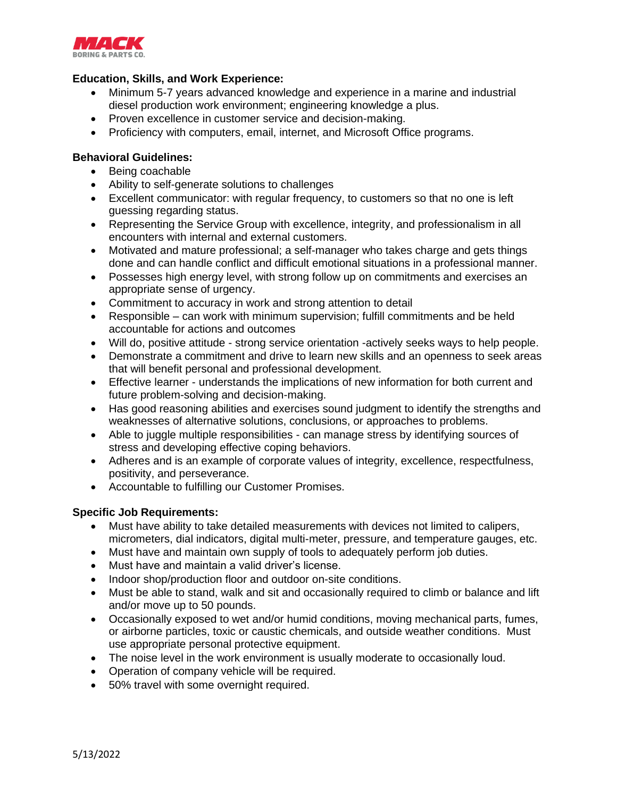

## **Education, Skills, and Work Experience:**

- Minimum 5-7 years advanced knowledge and experience in a marine and industrial diesel production work environment; engineering knowledge a plus.
- Proven excellence in customer service and decision-making.
- Proficiency with computers, email, internet, and Microsoft Office programs.

## **Behavioral Guidelines:**

- Being coachable
- Ability to self-generate solutions to challenges
- Excellent communicator: with regular frequency, to customers so that no one is left guessing regarding status.
- Representing the Service Group with excellence, integrity, and professionalism in all encounters with internal and external customers.
- Motivated and mature professional; a self-manager who takes charge and gets things done and can handle conflict and difficult emotional situations in a professional manner.
- Possesses high energy level, with strong follow up on commitments and exercises an appropriate sense of urgency.
- Commitment to accuracy in work and strong attention to detail
- Responsible can work with minimum supervision; fulfill commitments and be held accountable for actions and outcomes
- Will do, positive attitude strong service orientation -actively seeks ways to help people.
- Demonstrate a commitment and drive to learn new skills and an openness to seek areas that will benefit personal and professional development.
- Effective learner understands the implications of new information for both current and future problem-solving and decision-making.
- Has good reasoning abilities and exercises sound judgment to identify the strengths and weaknesses of alternative solutions, conclusions, or approaches to problems.
- Able to juggle multiple responsibilities can manage stress by identifying sources of stress and developing effective coping behaviors.
- Adheres and is an example of corporate values of integrity, excellence, respectfulness, positivity, and perseverance.
- Accountable to fulfilling our Customer Promises.

## **Specific Job Requirements:**

- Must have ability to take detailed measurements with devices not limited to calipers, micrometers, dial indicators, digital multi-meter, pressure, and temperature gauges, etc.
- Must have and maintain own supply of tools to adequately perform job duties.
- Must have and maintain a valid driver's license.
- Indoor shop/production floor and outdoor on-site conditions.
- Must be able to stand, walk and sit and occasionally required to climb or balance and lift and/or move up to 50 pounds.
- Occasionally exposed to wet and/or humid conditions, moving mechanical parts, fumes, or airborne particles, toxic or caustic chemicals, and outside weather conditions. Must use appropriate personal protective equipment.
- The noise level in the work environment is usually moderate to occasionally loud.
- Operation of company vehicle will be required.
- 50% travel with some overnight required.